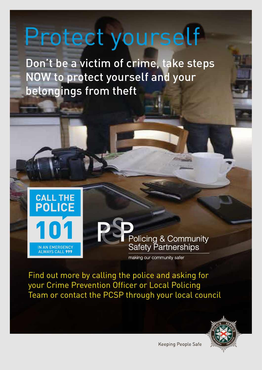## Protect yourself

Don't be a victim of crime, take steps NOW to protect yourself and your belongings from theft



Policing & Community **Safety Partnerships** 

making our community safer

Find out more by calling the police and asking for your Crime Prevention Officer or Local Policing Team or contact the PCSP through your local council



Keeping People Safe